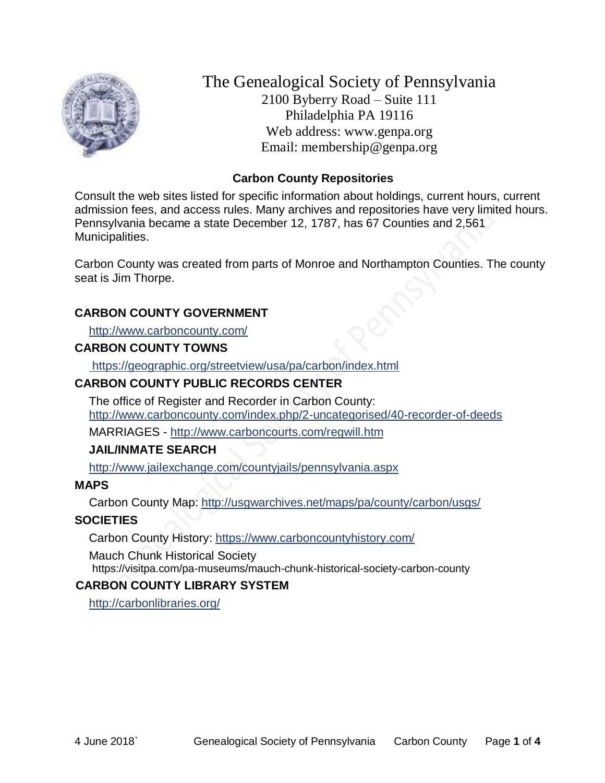

The Genealogical Society of Pennsylvania 2100 Byberry Road – Suite 111 Philadelphia PA 19116 Web address: www.genpa.org Email: membership@genpa.org

## **Carbon County Repositories**

Consult the web sites listed for specific information about holdings, current hours, current admission fees, and access rules. Many archives and repositories have very limited hours. Pennsylvania became a state December 12, 1787, has 67 Counties and 2,561 Municipalities.

Carbon County was created from parts of Monroe and Northampton Counties. The county seat is Jim Thorpe.

## **CARBON COUNTY GOVERNMENT**

<http://www.carboncounty.com/>

#### **CARBON COUNTY TOWNS**

<https://geographic.org/streetview/usa/pa/carbon/index.html>

## **CARBON COUNTY PUBLIC RECORDS CENTER**

The office of Register and Recorder in Carbon County: <http://www.carboncounty.com/index.php/2-uncategorised/40-recorder-of-deeds>

MARRIAGES - <http://www.carboncourts.com/regwill.htm>

## **JAIL/INMATE SEARCH**

<http://www.jailexchange.com/countyjails/pennsylvania.aspx>

## **MAPS**

Carbon County Map: <http://usgwarchives.net/maps/pa/county/carbon/usgs/>

## **SOCIETIES**

Carbon County History:<https://www.carboncountyhistory.com/>

Mauch Chunk Historical Society https://visitpa.com/pa-museums/mauch-chunk-historical-society-carbon-county

#### **CARBON COUNTY LIBRARY SYSTEM**

<http://carbonlibraries.org/>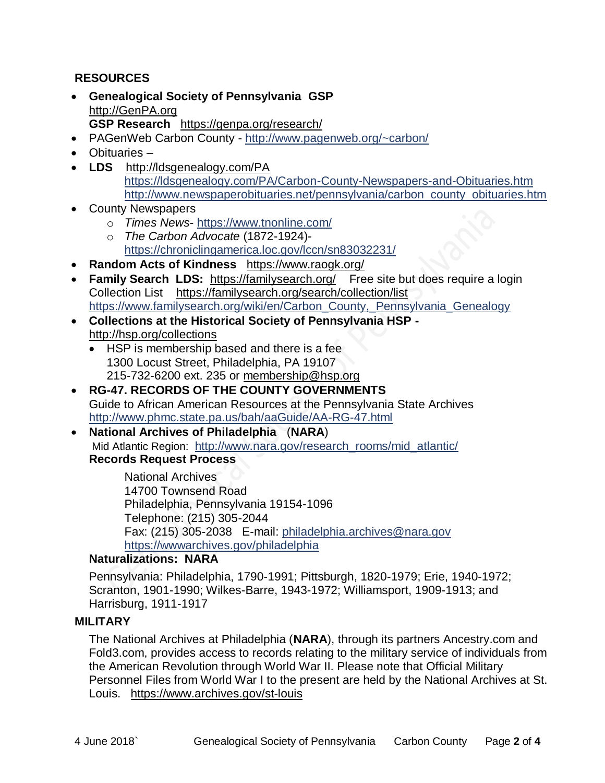## **RESOURCES**

- **Genealogical Society of Pennsylvania GSP** [http://GenPA.org](http://genpa.org/) **GSP Research** <https://genpa.org/research/>
- PAGenWeb Carbon County <http://www.pagenweb.org/~carbon/>
- Obituaries –
- **LDS** <http://ldsgenealogy.com/PA> <https://ldsgenealogy.com/PA/Carbon-County-Newspapers-and-Obituaries.htm> [http://www.newspaperobituaries.net/pennsylvania/carbon\\_county\\_obituaries.htm](http://www.newspaperobituaries.net/pennsylvania/carbon_county_obituaries.htm)
- County Newspapers
	- o *Times News* <https://www.tnonline.com/>
	- o *The Carbon Advocate* (1872-1924) <https://chroniclingamerica.loc.gov/lccn/sn83032231/>
- **Random Acts of Kindness** <https://www.raogk.org/>
- **Family Search LDS:** <https://familysearch.org/>Free site but does require a login Collection List <https://familysearch.org/search/collection/list> [https://www.familysearch.org/wiki/en/Carbon\\_County,\\_Pennsylvania\\_Genealogy](https://www.familysearch.org/wiki/en/Carbon_County,_Pennsylvania_Genealogy)
- **Collections at the Historical Society of Pennsylvania HSP**  <http://hsp.org/collections>
	- HSP is membership based and there is a fee 1300 Locust Street, Philadelphia, PA 19107 215-732-6200 ext. 235 or [membership@hsp.org](mailto:membership@hsp.org)
- **RG-47. RECORDS OF THE COUNTY GOVERNMENTS** Guide to African American Resources at the Pennsylvania State Archives <http://www.phmc.state.pa.us/bah/aaGuide/AA-RG-47.html>
- **National Archives of Philadelphia** (**NARA**) Mid Atlantic Region: [http://www.nara.gov/research\\_rooms/mid\\_atlantic/](http://www.nara.gov/research_rooms/mid_atlantic/) **Records Request Process**

National Archives 14700 Townsend Road Philadelphia, Pennsylvania 19154-1096 Telephone: (215) 305-2044 Fax: (215) 305-2038 E-mail: [philadelphia.archives@nara.gov](mailto:philadelphia.archives@nara.gov) <https://wwwarchives.gov/philadelphia>

## **Naturalizations: NARA**

Pennsylvania: Philadelphia, 1790-1991; Pittsburgh, 1820-1979; Erie, 1940-1972; Scranton, 1901-1990; Wilkes-Barre, 1943-1972; Williamsport, 1909-1913; and Harrisburg, 1911-1917

#### **MILITARY**

The National Archives at Philadelphia (**NARA**), through its partners Ancestry.com and Fold3.com, provides access to records relating to the military service of individuals from the American Revolution through World War II. Please note that Official Military Personnel Files from World War I to the present are held by the National Archives at St. Louis. <https://www.archives.gov/st-louis>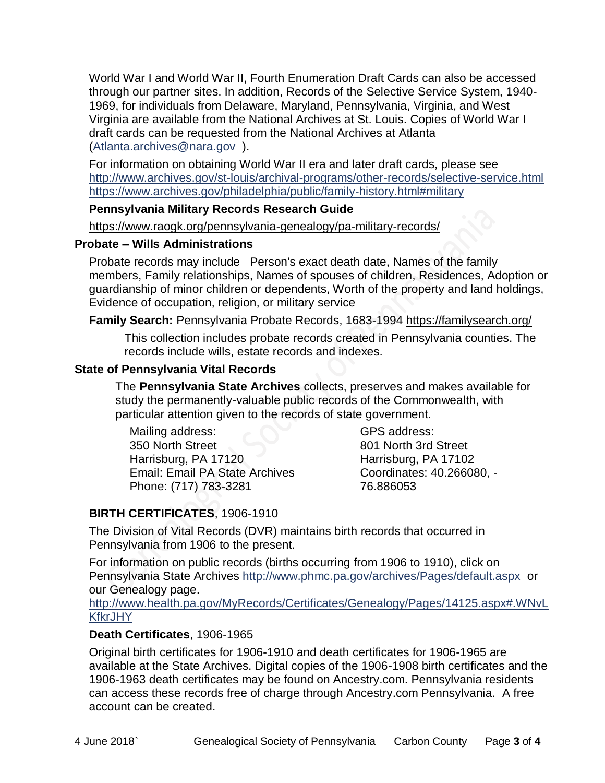World War I and World War II, Fourth Enumeration Draft Cards can also be accessed through our partner sites. In addition, Records of the Selective Service System, 1940- 1969, for individuals from Delaware, Maryland, Pennsylvania, Virginia, and West Virginia are available from the National Archives at St. Louis. Copies of World War I draft cards can be requested from the National Archives at Atlanta [\(Atlanta.archives@nara.gov](mailto:Atlanta.archives@nara.gov) ).

For information on obtaining World War II era and later draft cards, please see <http://www.archives.gov/st-louis/archival-programs/other-records/selective-service.html> <https://www.archives.gov/philadelphia/public/family-history.html#military>

#### **Pennsylvania Military Records Research Guide**

<https://www.raogk.org/pennsylvania-genealogy/pa-military-records/>

#### **Probate – Wills Administrations**

Probate records may include Person's exact death date, Names of the family members, Family relationships, Names of spouses of children, Residences, Adoption or guardianship of minor children or dependents, Worth of the property and land holdings, Evidence of occupation, religion, or military service

## **Family Search:** Pennsylvania Probate Records, 1683-1994 <https://familysearch.org/>

This collection includes probate records created in Pennsylvania counties. The records include wills, estate records and indexes.

## **State of Pennsylvania Vital Records**

The **Pennsylvania State Archives** collects, preserves and makes available for study the permanently-valuable public records of the Commonwealth, with particular attention given to the records of state government.

Mailing address: 350 North Street Harrisburg, PA 17120 Email: Email PA State Archives Phone: (717) 783-3281

GPS address: 801 North 3rd Street Harrisburg, PA 17102 Coordinates: 40.266080, - 76.886053

# **BIRTH CERTIFICATES**, 1906-1910

The Division of Vital Records (DVR) maintains birth records that occurred in Pennsylvania from 1906 to the present.

For information on public records (births occurring from 1906 to 1910), click on Pennsylvania State Archives <http://www.phmc.pa.gov/archives/Pages/default.aspx>or our Genealogy page.

[http://www.health.pa.gov/MyRecords/Certificates/Genealogy/Pages/14125.aspx#.WNvL](http://www.health.pa.gov/MyRecords/Certificates/Genealogy/Pages/14125.aspx#.WNvLKfkrJHY) **[KfkrJHY](http://www.health.pa.gov/MyRecords/Certificates/Genealogy/Pages/14125.aspx#.WNvLKfkrJHY)** 

## **Death Certificates**, 1906-1965

Original birth certificates for 1906-1910 and death certificates for 1906-1965 are available at the State Archives. Digital copies of the 1906-1908 birth certificates and the 1906-1963 death certificates may be found on Ancestry.com. Pennsylvania residents can access these records free of charge through Ancestry.com Pennsylvania. A free account can be created.